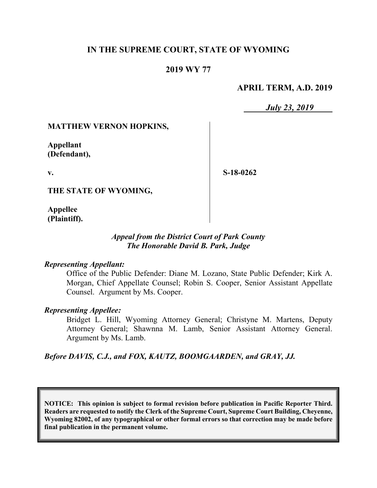# **IN THE SUPREME COURT, STATE OF WYOMING**

## **2019 WY 77**

### **APRIL TERM, A.D. 2019**

*July 23, 2019*

### **MATTHEW VERNON HOPKINS,**

**Appellant (Defendant),**

**v.**

**S-18-0262**

**THE STATE OF WYOMING,**

**Appellee (Plaintiff).**

### *Appeal from the District Court of Park County The Honorable David B. Park, Judge*

#### *Representing Appellant:*

Office of the Public Defender: Diane M. Lozano, State Public Defender; Kirk A. Morgan, Chief Appellate Counsel; Robin S. Cooper, Senior Assistant Appellate Counsel. Argument by Ms. Cooper.

### *Representing Appellee:*

Bridget L. Hill, Wyoming Attorney General; Christyne M. Martens, Deputy Attorney General; Shawnna M. Lamb, Senior Assistant Attorney General. Argument by Ms. Lamb.

*Before DAVIS, C.J., and FOX, KAUTZ, BOOMGAARDEN, and GRAY, JJ.*

**NOTICE: This opinion is subject to formal revision before publication in Pacific Reporter Third. Readers are requested to notify the Clerk of the Supreme Court, Supreme Court Building, Cheyenne, Wyoming 82002, of any typographical or other formal errors so that correction may be made before final publication in the permanent volume.**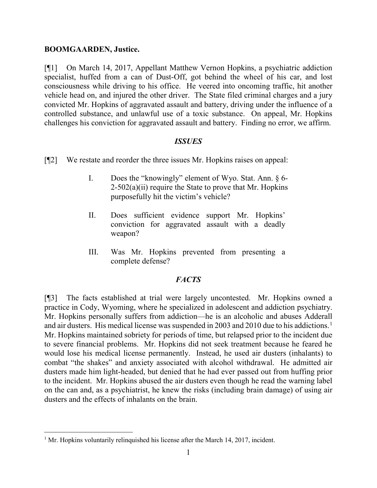### **BOOMGAARDEN, Justice.**

[¶1] On March 14, 2017, Appellant Matthew Vernon Hopkins, a psychiatric addiction specialist, huffed from a can of Dust-Off, got behind the wheel of his car, and lost consciousness while driving to his office. He veered into oncoming traffic, hit another vehicle head on, and injured the other driver. The State filed criminal charges and a jury convicted Mr. Hopkins of aggravated assault and battery, driving under the influence of a controlled substance, and unlawful use of a toxic substance. On appeal, Mr. Hopkins challenges his conviction for aggravated assault and battery. Finding no error, we affirm.

### *ISSUES*

[¶2] We restate and reorder the three issues Mr. Hopkins raises on appeal:

- I. Does the "knowingly" element of Wyo. Stat. Ann. § 6-  $2-502(a)(ii)$  require the State to prove that Mr. Hopkins purposefully hit the victim's vehicle?
- II. Does sufficient evidence support Mr. Hopkins' conviction for aggravated assault with a deadly weapon?
- III. Was Mr. Hopkins prevented from presenting a complete defense?

# *FACTS*

[¶3] The facts established at trial were largely uncontested. Mr. Hopkins owned a practice in Cody, Wyoming, where he specialized in adolescent and addiction psychiatry. Mr. Hopkins personally suffers from addiction—he is an alcoholic and abuses Adderall and air dusters. His medical license was suspended in 2003 and 2010 due to his addictions. [1](#page-1-0) Mr. Hopkins maintained sobriety for periods of time, but relapsed prior to the incident due to severe financial problems. Mr. Hopkins did not seek treatment because he feared he would lose his medical license permanently. Instead, he used air dusters (inhalants) to combat "the shakes" and anxiety associated with alcohol withdrawal. He admitted air dusters made him light-headed, but denied that he had ever passed out from huffing prior to the incident. Mr. Hopkins abused the air dusters even though he read the warning label on the can and, as a psychiatrist, he knew the risks (including brain damage) of using air dusters and the effects of inhalants on the brain.

<span id="page-1-0"></span> $1$  Mr. Hopkins voluntarily relinquished his license after the March 14, 2017, incident.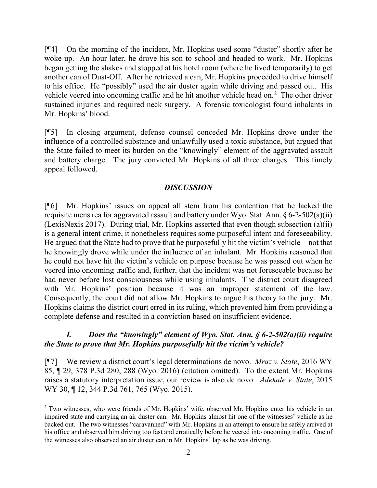[¶4] On the morning of the incident, Mr. Hopkins used some "duster" shortly after he woke up. An hour later, he drove his son to school and headed to work. Mr. Hopkins began getting the shakes and stopped at his hotel room (where he lived temporarily) to get another can of Dust-Off. After he retrieved a can, Mr. Hopkins proceeded to drive himself to his office. He "possibly" used the air duster again while driving and passed out. His vehicle veered into oncoming traffic and he hit another vehicle head on.<sup>[2](#page-2-0)</sup> The other driver sustained injuries and required neck surgery. A forensic toxicologist found inhalants in Mr. Hopkins' blood.

[¶5] In closing argument, defense counsel conceded Mr. Hopkins drove under the influence of a controlled substance and unlawfully used a toxic substance, but argued that the State failed to meet its burden on the "knowingly" element of the aggravated assault and battery charge. The jury convicted Mr. Hopkins of all three charges. This timely appeal followed.

### *DISCUSSION*

[¶6] Mr. Hopkins' issues on appeal all stem from his contention that he lacked the requisite mens rea for aggravated assault and battery under Wyo. Stat. Ann. § 6-2-502(a)(ii) (LexisNexis 2017). During trial, Mr. Hopkins asserted that even though subsection (a)(ii) is a general intent crime, it nonetheless requires some purposeful intent and foreseeability. He argued that the State had to prove that he purposefully hit the victim's vehicle—not that he knowingly drove while under the influence of an inhalant. Mr. Hopkins reasoned that he could not have hit the victim's vehicle on purpose because he was passed out when he veered into oncoming traffic and, further, that the incident was not foreseeable because he had never before lost consciousness while using inhalants. The district court disagreed with Mr. Hopkins' position because it was an improper statement of the law. Consequently, the court did not allow Mr. Hopkins to argue his theory to the jury. Mr. Hopkins claims the district court erred in its ruling, which prevented him from providing a complete defense and resulted in a conviction based on insufficient evidence.

# *I. Does the "knowingly" element of Wyo. Stat. Ann. § 6-2-502(a)(ii) require the State to prove that Mr. Hopkins purposefully hit the victim's vehicle?*

[¶7] We review a district court's legal determinations de novo. *Mraz v. State*, 2016 WY 85, ¶ 29, 378 P.3d 280, 288 (Wyo. 2016) (citation omitted). To the extent Mr. Hopkins raises a statutory interpretation issue, our review is also de novo. *Adekale v. State*, 2015 WY 30, ¶ 12, 344 P.3d 761, 765 (Wyo. 2015).

<span id="page-2-0"></span><sup>&</sup>lt;sup>2</sup> Two witnesses, who were friends of Mr. Hopkins' wife, observed Mr. Hopkins enter his vehicle in an impaired state and carrying an air duster can. Mr. Hopkins almost hit one of the witnesses' vehicle as he backed out. The two witnesses "caravanned" with Mr. Hopkins in an attempt to ensure he safely arrived at his office and observed him driving too fast and erratically before he veered into oncoming traffic. One of the witnesses also observed an air duster can in Mr. Hopkins' lap as he was driving.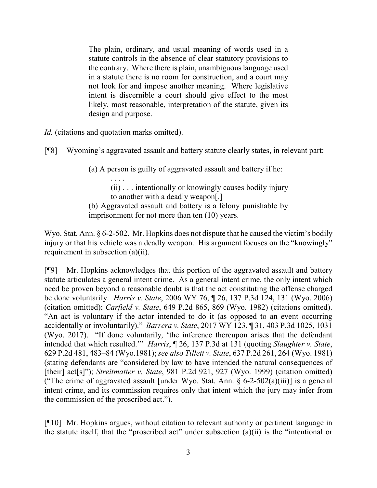The plain, ordinary, and usual meaning of words used in a statute controls in the absence of clear statutory provisions to the contrary. Where there is plain, unambiguous language used in a statute there is no room for construction, and a court may not look for and impose another meaning. Where legislative intent is discernible a court should give effect to the most likely, most reasonable, interpretation of the statute, given its design and purpose.

*Id.* (citations and quotation marks omitted).

[¶8] Wyoming's aggravated assault and battery statute clearly states, in relevant part:

(a) A person is guilty of aggravated assault and battery if he:

. . . . (ii) . . . intentionally or knowingly causes bodily injury to another with a deadly weapon[.]

(b) Aggravated assault and battery is a felony punishable by imprisonment for not more than ten (10) years.

Wyo. Stat. Ann. § 6-2-502. Mr. Hopkins does not dispute that he caused the victim's bodily injury or that his vehicle was a deadly weapon. His argument focuses on the "knowingly" requirement in subsection (a)(ii).

[¶9] Mr. Hopkins acknowledges that this portion of the aggravated assault and battery statute articulates a general intent crime. As a general intent crime, the only intent which need be proven beyond a reasonable doubt is that the act constituting the offense charged be done voluntarily. *Harris v. State*, 2006 WY 76, ¶ 26, 137 P.3d 124, 131 (Wyo. 2006) (citation omitted); *Carfield v. State*, 649 P.2d 865, 869 (Wyo. 1982) (citations omitted). "An act is voluntary if the actor intended to do it (as opposed to an event occurring accidentally or involuntarily)." *Barrera v. State*, 2017 WY 123, ¶ 31, 403 P.3d 1025, 1031 (Wyo. 2017). "If done voluntarily, 'the inference thereupon arises that the defendant intended that which resulted.'" *Harris*, ¶ 26, 137 P.3d at 131 (quoting *Slaughter v. State*, 629 P.2d 481, 483–84 (Wyo.1981); *see also Tillett v. State*, 637 P.2d 261, 264 (Wyo. 1981) (stating defendants are "considered by law to have intended the natural consequences of [their] act[s]"); *Streitmatter v. State*, 981 P.2d 921, 927 (Wyo. 1999) (citation omitted) ("The crime of aggravated assault [under Wyo. Stat. Ann.  $\S$  6-2-502(a)(iii)] is a general intent crime, and its commission requires only that intent which the jury may infer from the commission of the proscribed act.").

[¶10] Mr. Hopkins argues, without citation to relevant authority or pertinent language in the statute itself, that the "proscribed act" under subsection (a)(ii) is the "intentional or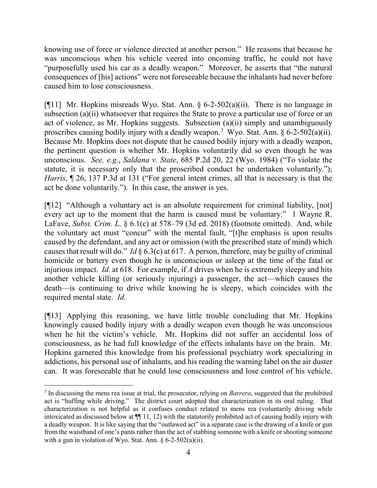knowing use of force or violence directed at another person." He reasons that because he was unconscious when his vehicle veered into oncoming traffic, he could not have "purposefully used his car as a deadly weapon." Moreover, he asserts that "the natural consequences of [his] actions" were not foreseeable because the inhalants had never before caused him to lose consciousness.

[ $[$ [11] Mr. Hopkins misreads Wyo. Stat. Ann. § 6-2-502(a)(ii). There is no language in subsection (a)(ii) whatsoever that requires the State to prove a particular use of force or an act of violence, as Mr. Hopkins suggests. Subsection (a)(ii) simply and unambiguously proscribes causing bodily injury with a deadly weapon.<sup>[3](#page-4-0)</sup> Wyo. Stat. Ann.  $\S 6$ -2-502(a)(ii). Because Mr. Hopkins does not dispute that he caused bodily injury with a deadly weapon, the pertinent question is whether Mr. Hopkins voluntarily did so even though he was unconscious. *See, e.g.*, *Saldana v. State*, 685 P.2d 20, 22 (Wyo. 1984) ("To violate the statute, it is necessary only that the proscribed conduct be undertaken voluntarily."); *Harris*, ¶ 26, 137 P.3d at 131 ("For general intent crimes, all that is necessary is that the act be done voluntarily."). In this case, the answer is yes.

[¶12] "Although a voluntary act is an absolute requirement for criminal liability, [not] every act up to the moment that the harm is caused must be voluntary." 1 Wayne R. LaFave, *Subst. Crim. L.* § 6.1(c) at 578–79 (3d ed. 2018) (footnote omitted). And, while the voluntary act must "concur" with the mental fault, "[t]he emphasis is upon results caused by the defendant, and any act or omission (with the prescribed state of mind) which causes that result will do." *Id* § 6.3(c) at 617. A person, therefore, may be guilty of criminal homicide or battery even though he is unconscious or asleep at the time of the fatal or injurious impact. *Id.* at 618. For example, if *A* drives when he is extremely sleepy and hits another vehicle killing (or seriously injuring) a passenger, the act—which causes the death—is continuing to drive while knowing he is sleepy, which coincides with the required mental state. *Id.*

[¶13] Applying this reasoning, we have little trouble concluding that Mr. Hopkins knowingly caused bodily injury with a deadly weapon even though he was unconscious when he hit the victim's vehicle. Mr. Hopkins did not suffer an accidental loss of consciousness, as he had full knowledge of the effects inhalants have on the brain. Mr. Hopkins garnered this knowledge from his professional psychiatry work specializing in addictions, his personal use of inhalants, and his reading the warning label on the air duster can. It was foreseeable that he could lose consciousness and lose control of his vehicle.

<span id="page-4-0"></span><sup>&</sup>lt;sup>3</sup> In discussing the mens rea issue at trial, the prosecutor, relying on *Barrera*, suggested that the prohibited act is "huffing while driving." The district court adopted that characterization in its oral ruling. That characterization is not helpful as it confuses conduct related to mens rea (voluntarily driving while intoxicated as discussed below at ¶¶ 11, 12) with the statutorily prohibited act of causing bodily injury with a deadly weapon. It is like saying that the "outlawed act" in a separate case is the drawing of a knife or gun from the waistband of one's pants rather than the act of stabbing someone with a knife or shooting someone with a gun in violation of Wyo. Stat. Ann. § 6-2-502(a)(ii).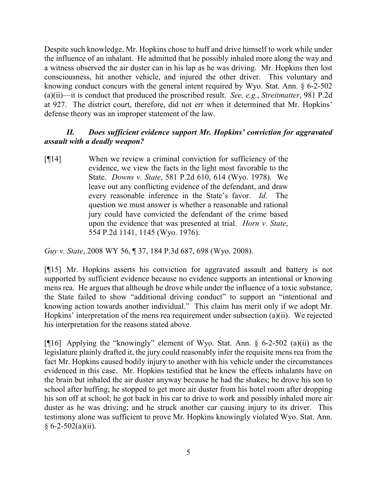Despite such knowledge, Mr. Hopkins chose to huff and drive himself to work while under the influence of an inhalant. He admitted that he possibly inhaled more along the way and a witness observed the air duster can in his lap as he was driving. Mr. Hopkins then lost consciousness, hit another vehicle, and injured the other driver. This voluntary and knowing conduct concurs with the general intent required by Wyo. Stat. Ann. § 6-2-502 (a)(ii)—it is conduct that produced the proscribed result. *See, e.g.*, *Streitmatter*, 981 P.2d at 927. The district court, therefore, did not err when it determined that Mr. Hopkins' defense theory was an improper statement of the law.

# *II. Does sufficient evidence support Mr. Hopkins' conviction for aggravated assault with a deadly weapon?*

[¶14] When we review a criminal conviction for sufficiency of the evidence, we view the facts in the light most favorable to the State. *Downs v. State*, 581 P.2d 610, 614 (Wyo. 1978). We leave out any conflicting evidence of the defendant, and draw every reasonable inference in the State's favor. *Id*. The question we must answer is whether a reasonable and rational jury could have convicted the defendant of the crime based upon the evidence that was presented at trial. *Horn v. State*, 554 P.2d 1141, 1145 (Wyo. 1976).

*Guy v. State*, 2008 WY 56, ¶ 37, 184 P.3d 687, 698 (Wyo. 2008).

[¶15] Mr. Hopkins asserts his conviction for aggravated assault and battery is not supported by sufficient evidence because no evidence supports an intentional or knowing mens rea. He argues that although he drove while under the influence of a toxic substance, the State failed to show "additional driving conduct" to support an "intentional and knowing action towards another individual." This claim has merit only if we adopt Mr. Hopkins' interpretation of the mens rea requirement under subsection (a)(ii). We rejected his interpretation for the reasons stated above.

[¶16] Applying the "knowingly" element of Wyo. Stat. Ann. § 6-2-502 (a)(ii) as the legislature plainly drafted it, the jury could reasonably infer the requisite mens rea from the fact Mr. Hopkins caused bodily injury to another with his vehicle under the circumstances evidenced in this case. Mr. Hopkins testified that he knew the effects inhalants have on the brain but inhaled the air duster anyway because he had the shakes; he drove his son to school after huffing; he stopped to get more air duster from his hotel room after dropping his son off at school; he got back in his car to drive to work and possibly inhaled more air duster as he was driving; and he struck another car causing injury to its driver. This testimony alone was sufficient to prove Mr. Hopkins knowingly violated Wyo. Stat. Ann.  $§ 6-2-502(a)(ii).$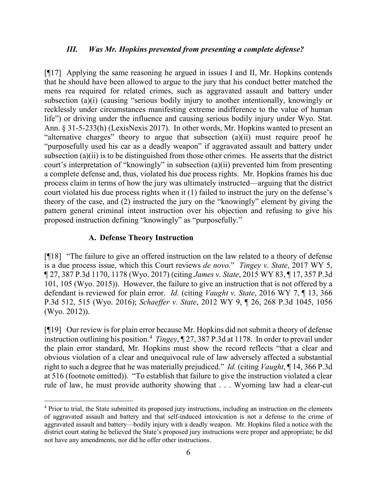#### *III. Was Mr. Hopkins prevented from presenting a complete defense?*

[¶17] Applying the same reasoning he argued in issues I and II, Mr. Hopkins contends that he should have been allowed to argue to the jury that his conduct better matched the mens rea required for related crimes, such as aggravated assault and battery under subsection (a)(i) (causing "serious bodily injury to another intentionally, knowingly or recklessly under circumstances manifesting extreme indifference to the value of human life") or driving under the influence and causing serious bodily injury under Wyo. Stat. Ann. § 31-5-233(h) (LexisNexis 2017). In other words, Mr. Hopkins wanted to present an "alternative charges" theory to argue that subsection (a)(ii) must require proof he "purposefully used his car as a deadly weapon" if aggravated assault and battery under subsection (a)(ii) is to be distinguished from those other crimes. He asserts that the district court's interpretation of "knowingly" in subsection (a)(ii) prevented him from presenting a complete defense and, thus, violated his due process rights. Mr. Hopkins frames his due process claim in terms of how the jury was ultimately instructed—arguing that the district court violated his due process rights when it (1) failed to instruct the jury on the defense's theory of the case, and (2) instructed the jury on the "knowingly" element by giving the pattern general criminal intent instruction over his objection and refusing to give his proposed instruction defining "knowingly" as "purposefully."

#### **A. Defense Theory Instruction**

[¶18] "The failure to give an offered instruction on the law related to a theory of defense is a due process issue, which this Court reviews *de novo.*" *Tingey v. State*, 2017 WY 5, ¶ 27, 387 P.3d 1170, 1178 (Wyo. 2017) (citing *James v. State*, 2015 WY 83, ¶ 17, 357 P.3d 101, 105 (Wyo. 2015)). However, the failure to give an instruction that is not offered by a defendant is reviewed for plain error. *Id.* (citing *Vaught v. State*, 2016 WY 7, ¶ 13, 366 P.3d 512, 515 (Wyo. 2016); *Schaeffer v. State*, 2012 WY 9, ¶ 26, 268 P.3d 1045, 1056 (Wyo. 2012)).

[¶19] Our review is for plain error because Mr. Hopkins did not submit a theory of defense instruction outlining his position. [4](#page-6-0) *Tingey*, ¶ 27, 387 P.3d at 1178. In order to prevail under the plain error standard, Mr. Hopkins must show the record reflects "that a clear and obvious violation of a clear and unequivocal rule of law adversely affected a substantial right to such a degree that he was materially prejudiced." *Id.* (citing *Vaught*, ¶ 14, 366 P.3d at 516 (footnote omitted)). "To establish that failure to give the instruction violated a clear rule of law, he must provide authority showing that . . . Wyoming law had a clear-cut

<span id="page-6-0"></span> <sup>4</sup> Prior to trial, the State submitted its proposed jury instructions, including an instruction on the elements of aggravated assault and battery and that self-induced intoxication is not a defense to the crime of aggravated assault and battery—bodily injury with a deadly weapon. Mr. Hopkins filed a notice with the district court stating he believed the State's proposed jury instructions were proper and appropriate; he did not have any amendments, nor did he offer other instructions.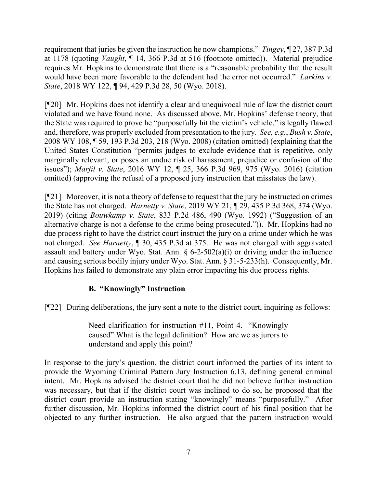requirement that juries be given the instruction he now champions." *Tingey*, ¶ 27, 387 P.3d at 1178 (quoting *Vaught*, ¶ 14, 366 P.3d at 516 (footnote omitted)). Material prejudice requires Mr. Hopkins to demonstrate that there is a "reasonable probability that the result would have been more favorable to the defendant had the error not occurred." *Larkins v. State*, 2018 WY 122, ¶ 94, 429 P.3d 28, 50 (Wyo. 2018).

[¶20] Mr. Hopkins does not identify a clear and unequivocal rule of law the district court violated and we have found none. As discussed above, Mr. Hopkins' defense theory, that the State was required to prove he "purposefully hit the victim's vehicle," is legally flawed and, therefore, was properly excluded from presentation to the jury. *See, e.g.*, *Bush v. State*, 2008 WY 108, ¶ 59, 193 P.3d 203, 218 (Wyo. 2008) (citation omitted) (explaining that the United States Constitution "permits judges to exclude evidence that is repetitive, only marginally relevant, or poses an undue risk of harassment, prejudice or confusion of the issues"); *Marfil v. State*, 2016 WY 12, ¶ 25, 366 P.3d 969, 975 (Wyo. 2016) (citation omitted) (approving the refusal of a proposed jury instruction that misstates the law).

[¶21] Moreover, it is not a theory of defense to request that the jury be instructed on crimes the State has not charged. *Harnetty v. State*, 2019 WY 21, ¶ 29, 435 P.3d 368, 374 (Wyo. 2019) (citing *Bouwkamp v. State*, 833 P.2d 486, 490 (Wyo. 1992) ("Suggestion of an alternative charge is not a defense to the crime being prosecuted.")). Mr. Hopkins had no due process right to have the district court instruct the jury on a crime under which he was not charged. *See Harnetty*, ¶ 30, 435 P.3d at 375. He was not charged with aggravated assault and battery under Wyo. Stat. Ann. § 6-2-502(a)(i) or driving under the influence and causing serious bodily injury under Wyo. Stat. Ann. § 31-5-233(h). Consequently, Mr. Hopkins has failed to demonstrate any plain error impacting his due process rights.

# **B. "Knowingly" Instruction**

[¶22] During deliberations, the jury sent a note to the district court, inquiring as follows:

Need clarification for instruction #11, Point 4. "Knowingly caused" What is the legal definition? How are we as jurors to understand and apply this point?

In response to the jury's question, the district court informed the parties of its intent to provide the Wyoming Criminal Pattern Jury Instruction 6.13, defining general criminal intent. Mr. Hopkins advised the district court that he did not believe further instruction was necessary, but that if the district court was inclined to do so, he proposed that the district court provide an instruction stating "knowingly" means "purposefully." After further discussion, Mr. Hopkins informed the district court of his final position that he objected to any further instruction. He also argued that the pattern instruction would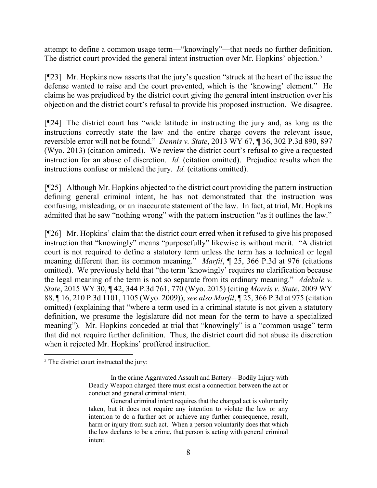attempt to define a common usage term—"knowingly"—that needs no further definition. The district court provided the general intent instruction over Mr. Hopkins' objection.<sup>[5](#page-8-0)</sup>

[¶23] Mr. Hopkins now asserts that the jury's question "struck at the heart of the issue the defense wanted to raise and the court prevented, which is the 'knowing' element." He claims he was prejudiced by the district court giving the general intent instruction over his objection and the district court's refusal to provide his proposed instruction. We disagree.

[¶24] The district court has "wide latitude in instructing the jury and, as long as the instructions correctly state the law and the entire charge covers the relevant issue, reversible error will not be found." *Dennis v. State*, 2013 WY 67, ¶ 36, 302 P.3d 890, 897 (Wyo. 2013) (citation omitted). We review the district court's refusal to give a requested instruction for an abuse of discretion. *Id.* (citation omitted). Prejudice results when the instructions confuse or mislead the jury. *Id.* (citations omitted).

[¶25] Although Mr. Hopkins objected to the district court providing the pattern instruction defining general criminal intent, he has not demonstrated that the instruction was confusing, misleading, or an inaccurate statement of the law. In fact, at trial, Mr. Hopkins admitted that he saw "nothing wrong" with the pattern instruction "as it outlines the law."

[¶26] Mr. Hopkins' claim that the district court erred when it refused to give his proposed instruction that "knowingly" means "purposefully" likewise is without merit. "A district court is not required to define a statutory term unless the term has a technical or legal meaning different than its common meaning." *Marfil*, ¶ 25, 366 P.3d at 976 (citations omitted). We previously held that "the term 'knowingly' requires no clarification because the legal meaning of the term is not so separate from its ordinary meaning." *Adekale v. State*, 2015 WY 30, ¶ 42, 344 P.3d 761, 770 (Wyo. 2015) (citing *Morris v. State*, 2009 WY 88, ¶ 16, 210 P.3d 1101, 1105 (Wyo. 2009)); *see also Marfil*, ¶ 25, 366 P.3d at 975 (citation omitted) (explaining that "where a term used in a criminal statute is not given a statutory definition, we presume the legislature did not mean for the term to have a specialized meaning"). Mr. Hopkins conceded at trial that "knowingly" is a "common usage" term that did not require further definition. Thus, the district court did not abuse its discretion when it rejected Mr. Hopkins' proffered instruction.

<span id="page-8-0"></span><sup>&</sup>lt;sup>5</sup> The district court instructed the jury:

In the crime Aggravated Assault and Battery—Bodily Injury with Deadly Weapon charged there must exist a connection between the act or conduct and general criminal intent.

General criminal intent requires that the charged act is voluntarily taken, but it does not require any intention to violate the law or any intention to do a further act or achieve any further consequence, result, harm or injury from such act. When a person voluntarily does that which the law declares to be a crime, that person is acting with general criminal intent.